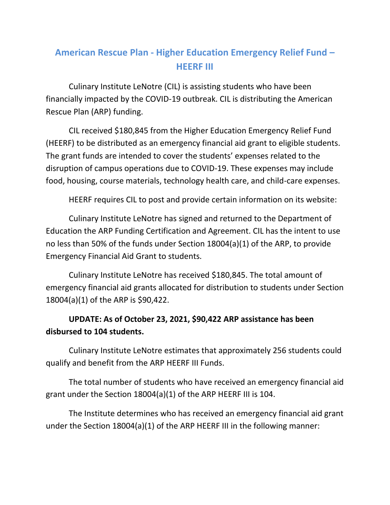## **American Rescue Plan - Higher Education Emergency Relief Fund – HEERF III**

Culinary Institute LeNotre (CIL) is assisting students who have been financially impacted by the COVID-19 outbreak. CIL is distributing the American Rescue Plan (ARP) funding.

CIL received \$180,845 from the Higher Education Emergency Relief Fund (HEERF) to be distributed as an emergency financial aid grant to eligible students. The grant funds are intended to cover the students' expenses related to the disruption of campus operations due to COVID-19. These expenses may include food, housing, course materials, technology health care, and child-care expenses.

HEERF requires CIL to post and provide certain information on its website:

Culinary Institute LeNotre has signed and returned to the Department of Education the ARP Funding Certification and Agreement. CIL has the intent to use no less than 50% of the funds under Section 18004(a)(1) of the ARP, to provide Emergency Financial Aid Grant to students.

Culinary Institute LeNotre has received \$180,845. The total amount of emergency financial aid grants allocated for distribution to students under Section 18004(a)(1) of the ARP is \$90,422.

## **UPDATE: As of October 23, 2021, \$90,422 ARP assistance has been disbursed to 104 students.**

Culinary Institute LeNotre estimates that approximately 256 students could qualify and benefit from the ARP HEERF III Funds.

The total number of students who have received an emergency financial aid grant under the Section 18004(a)(1) of the ARP HEERF III is 104.

The Institute determines who has received an emergency financial aid grant under the Section 18004(a)(1) of the ARP HEERF III in the following manner: